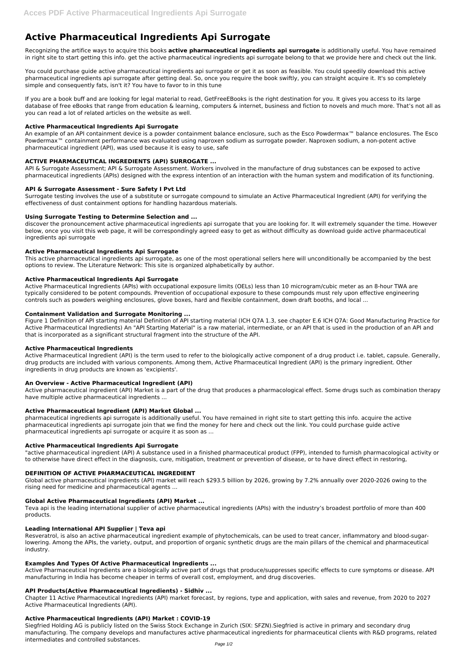# **Active Pharmaceutical Ingredients Api Surrogate**

Recognizing the artifice ways to acquire this books **active pharmaceutical ingredients api surrogate** is additionally useful. You have remained in right site to start getting this info. get the active pharmaceutical ingredients api surrogate belong to that we provide here and check out the link.

You could purchase guide active pharmaceutical ingredients api surrogate or get it as soon as feasible. You could speedily download this active pharmaceutical ingredients api surrogate after getting deal. So, once you require the book swiftly, you can straight acquire it. It's so completely simple and consequently fats, isn't it? You have to favor to in this tune

An example of an API containment device is a powder containment balance enclosure, such as the Esco Powdermax<sup>™</sup> balance enclosures. The Esco Powdermax™ containment performance was evaluated using naproxen sodium as surrogate powder. Naproxen sodium, a non-potent active pharmaceutical ingredient (API), was used because it is easy to use, safe

If you are a book buff and are looking for legal material to read, GetFreeEBooks is the right destination for you. It gives you access to its large database of free eBooks that range from education & learning, computers & internet, business and fiction to novels and much more. That's not all as you can read a lot of related articles on the website as well.

## **Active Pharmaceutical Ingredients Api Surrogate**

## **ACTIVE PHARMACEUTICAL INGREDIENTS (API) SURROGATE ...**

API & Surrogate Assessment; API & Surrogate Assessment. Workers involved in the manufacture of drug substances can be exposed to active pharmaceutical ingredients (APIs) designed with the express intention of an interaction with the human system and modification of its functioning.

## **API & Surrogate Assessment - Sure Safety I Pvt Ltd**

Surrogate testing involves the use of a substitute or surrogate compound to simulate an Active Pharmaceutical Ingredient (API) for verifying the effectiveness of dust containment options for handling hazardous materials.

## **Using Surrogate Testing to Determine Selection and ...**

discover the pronouncement active pharmaceutical ingredients api surrogate that you are looking for. It will extremely squander the time. However below, once you visit this web page, it will be correspondingly agreed easy to get as without difficulty as download guide active pharmaceutical ingredients api surrogate

## **Active Pharmaceutical Ingredients Api Surrogate**

This active pharmaceutical ingredients api surrogate, as one of the most operational sellers here will unconditionally be accompanied by the best options to review. The Literature Network: This site is organized alphabetically by author.

### **Active Pharmaceutical Ingredients Api Surrogate**

Active Pharmaceutical Ingredients (APIs) with occupational exposure limits (OELs) less than 10 microgram/cubic meter as an 8-hour TWA are typically considered to be potent compounds. Prevention of occupational exposure to these compounds must rely upon effective engineering controls such as powders weighing enclosures, glove boxes, hard and flexible containment, down draft booths, and local ...

### **Containment Validation and Surrogate Monitoring ...**

Figure 1 Definition of API starting material Definition of API starting material (ICH Q7A 1.3, see chapter E.6 ICH Q7A: Good Manufacturing Practice for Active Pharmaceutical Ingredients) An "API Starting Material" is a raw material, intermediate, or an API that is used in the production of an API and that is incorporated as a significant structural fragment into the structure of the API.

### **Active Pharmaceutical Ingredients**

Active Pharmaceutical Ingredient (API) is the term used to refer to the biologically active component of a drug product i.e. tablet, capsule. Generally, drug products are included with various components. Among them, Active Pharmaceutical Ingredient (API) is the primary ingredient. Other ingredients in drug products are known as 'excipients'.

### **An Overview - Active Pharmaceutical Ingredient (API)**

Active pharmaceutical ingredient (API) Market is a part of the drug that produces a pharmacological effect. Some drugs such as combination therapy have multiple active pharmaceutical ingredients ...

### **Active Pharmaceutical Ingredient (API) Market Global ...**

pharmaceutical ingredients api surrogate is additionally useful. You have remained in right site to start getting this info. acquire the active pharmaceutical ingredients api surrogate join that we find the money for here and check out the link. You could purchase guide active pharmaceutical ingredients api surrogate or acquire it as soon as ...

### **Active Pharmaceutical Ingredients Api Surrogate**

"active pharmaceutical ingredient (API) A substance used in a finished pharmaceutical product (FPP), intended to furnish pharmacological activity or to otherwise have direct effect in the diagnosis, cure, mitigation, treatment or prevention of disease, or to have direct effect in restoring,

### **DEFINITION OF ACTIVE PHARMACEUTICAL INGREDIENT**

Global active pharmaceutical ingredients (API) market will reach \$293.5 billion by 2026, growing by 7.2% annually over 2020-2026 owing to the rising need for medicine and pharmaceutical agents ...

## **Global Active Pharmaceutical Ingredients (API) Market ...**

Teva api is the leading international supplier of active pharmaceutical ingredients (APIs) with the industry's broadest portfolio of more than 400 products.

#### **Leading International API Supplier | Teva api**

Resveratrol, is also an active pharmaceutical ingredient example of phytochemicals, can be used to treat cancer, inflammatory and blood-sugarlowering. Among the APIs, the variety, output, and proportion of organic synthetic drugs are the main pillars of the chemical and pharmaceutical industry.

#### **Examples And Types Of Active Pharmaceutical Ingredients ...**

Active Pharmaceutical Ingredients are a biologically active part of drugs that produce/suppresses specific effects to cure symptoms or disease. API manufacturing in India has become cheaper in terms of overall cost, employment, and drug discoveries.

#### **API Products(Active Pharmaceutical Ingredients) - Sidhiv ...**

Chapter 11 Active Pharmaceutical Ingredients (API) market forecast, by regions, type and application, with sales and revenue, from 2020 to 2027 Active Pharmaceutical Ingredients (API).

#### **Active Pharmaceutical Ingredients (API) Market : COVID-19**

Siegfried Holding AG is publicly listed on the Swiss Stock Exchange in Zurich (SIX: SFZN).Siegfried is active in primary and secondary drug manufacturing. The company develops and manufactures active pharmaceutical ingredients for pharmaceutical clients with R&D programs, related intermediates and controlled substances.